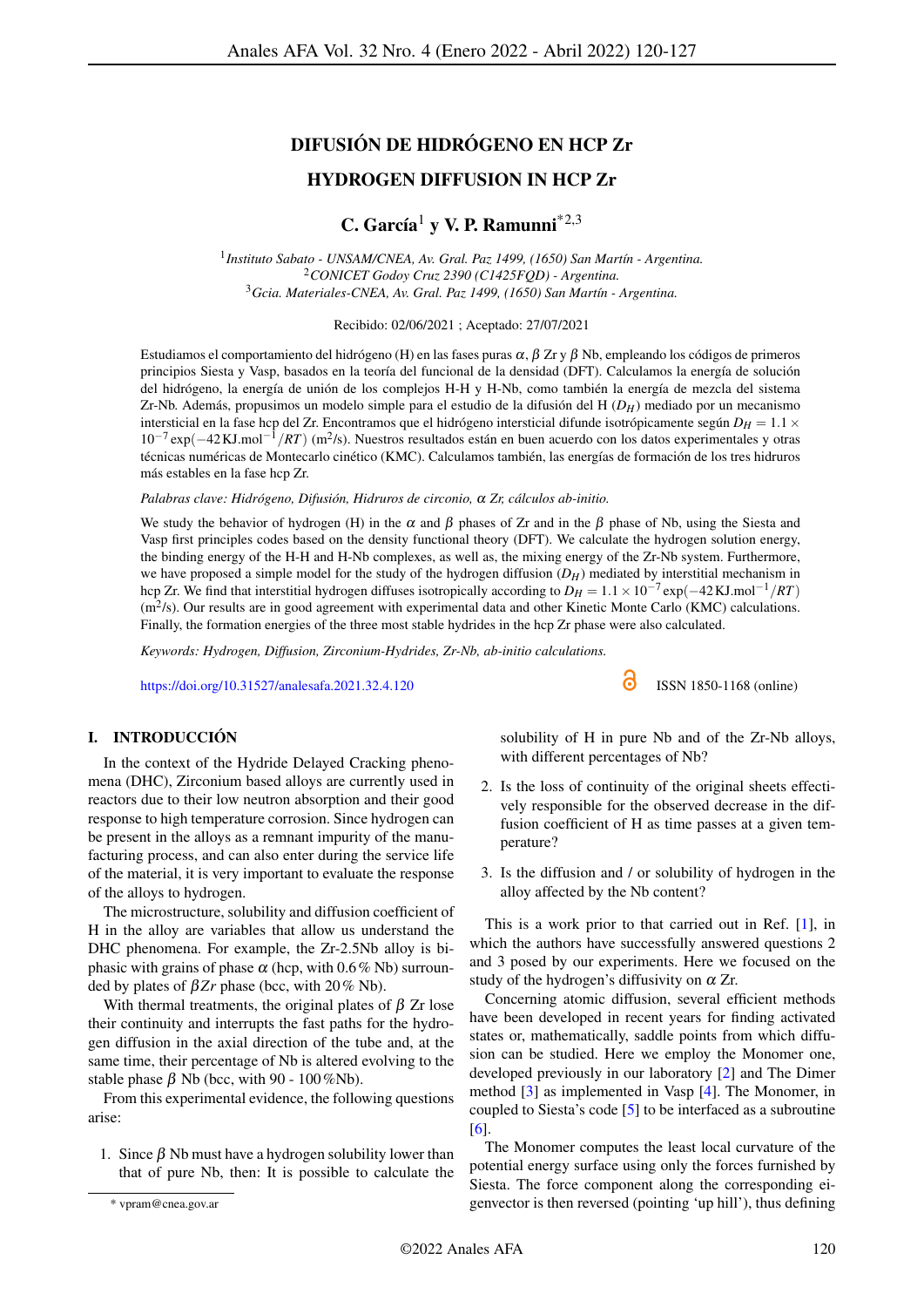# DIFUSIÓN DE HIDRÓGENO EN HCP Zr

## HYDROGEN DIFFUSION IN HCP Zr

## C. García<sup>1</sup> v V. P. Ramunni<sup>\*2,3</sup>

1 *Instituto Sabato - UNSAM/CNEA, Av. Gral. Paz 1499, (1650) San Martín - Argentina.* <sup>2</sup>*CONICET Godoy Cruz 2390 (C1425FQD) - Argentina.* <sup>3</sup>*Gcia. Materiales-CNEA, Av. Gral. Paz 1499, (1650) San Martín - Argentina.*

Recibido: 02/06/2021 ; Aceptado: 27/07/2021

Estudiamos el comportamiento del hidrógeno (H) en las fases puras  $\alpha$ , β Zr y β Nb, empleando los códigos de primeros principios Siesta y Vasp, basados en la teoría del funcional de la densidad (DFT). Calculamos la energía de solución del hidrógeno, la energía de unión de los complejos H-H y H-Nb, como también la energía de mezcla del sistema Zr-Nb. Además, propusimos un modelo simple para el estudio de la difusión del H (*DH*) mediado por un mecanismo intersticial en la fase hcp del Zr. Encontramos que el hidrógeno intersticial difunde isotrópicamente según  $D_H = 1.1 \times$ 10−<sup>7</sup> exp(−42KJ.mol−<sup>1</sup> /*RT*) (m<sup>2</sup> /s). Nuestros resultados están en buen acuerdo con los datos experimentales y otras técnicas numéricas de Montecarlo cinético (KMC). Calculamos también, las energías de formación de los tres hidruros más estables en la fase hcp Zr.

*Palabras clave: Hidrógeno, Difusión, Hidruros de circonio,* α *Zr, cálculos ab-initio.*

We study the behavior of hydrogen (H) in the  $\alpha$  and  $\beta$  phases of Zr and in the  $\beta$  phase of Nb, using the Siesta and Vasp first principles codes based on the density functional theory (DFT). We calculate the hydrogen solution energy, the binding energy of the H-H and H-Nb complexes, as well as, the mixing energy of the Zr-Nb system. Furthermore, we have proposed a simple model for the study of the hydrogen diffusion  $(D_H)$  mediated by interstitial mechanism in hcp Zr. We find that interstitial hydrogen diffuses isotropically according to  $D_H = 1.1 \times 10^{-7}$  exp( $-42$ KJ.mol<sup>-1</sup>/*RT*)  $(m<sup>2</sup>/s)$ . Our results are in good agreement with experimental data and other Kinetic Monte Carlo (KMC) calculations. Finally, the formation energies of the three most stable hydrides in the hcp Zr phase were also calculated.

*Keywords: Hydrogen, Diffusion, Zirconium-Hydrides, Zr-Nb, ab-initio calculations.*

<https://doi.org/10.31527/analesafa.2021.32.4.120> **ISSN 1850-1168** (online)

I. INTRODUCCIÓN

In the context of the Hydride Delayed Cracking phenomena (DHC), Zirconium based alloys are currently used in reactors due to their low neutron absorption and their good response to high temperature corrosion. Since hydrogen can be present in the alloys as a remnant impurity of the manufacturing process, and can also enter during the service life of the material, it is very important to evaluate the response of the alloys to hydrogen.

The microstructure, solubility and diffusion coefficient of H in the alloy are variables that allow us understand the DHC phenomena. For example, the Zr-2.5Nb alloy is biphasic with grains of phase  $\alpha$  (hcp, with 0.6% Nb) surrounded by plates of  $βZr$  phase (bcc, with 20% Nb).

With thermal treatments, the original plates of  $\beta$  Zr lose their continuity and interrupts the fast paths for the hydrogen diffusion in the axial direction of the tube and, at the same time, their percentage of Nb is altered evolving to the stable phase  $\beta$  Nb (bcc, with 90 - 100%Nb).

From this experimental evidence, the following questions arise:

1. Since  $\beta$  Nb must have a hydrogen solubility lower than that of pure Nb, then: It is possible to calculate the solubility of H in pure Nb and of the Zr-Nb alloys, with different percentages of Nb?

- 2. Is the loss of continuity of the original sheets effectively responsible for the observed decrease in the diffusion coefficient of H as time passes at a given temperature?
- 3. Is the diffusion and / or solubility of hydrogen in the alloy affected by the Nb content?

This is a work prior to that carried out in Ref. [\[1\]](#page-6-0), in which the authors have successfully answered questions 2 and 3 posed by our experiments. Here we focused on the study of the hydrogen's diffusivity on  $\alpha$  Zr.

Concerning atomic diffusion, several efficient methods have been developed in recent years for finding activated states or, mathematically, saddle points from which diffusion can be studied. Here we employ the Monomer one, developed previously in our laboratory [\[2\]](#page-6-1) and The Dimer method [\[3\]](#page-6-2) as implemented in Vasp [\[4\]](#page-6-3). The Monomer, in coupled to Siesta's code [\[5\]](#page-6-4) to be interfaced as a subroutine [\[6\]](#page-6-5).

The Monomer computes the least local curvature of the potential energy surface using only the forces furnished by Siesta. The force component along the corresponding eigenvector is then reversed (pointing 'up hill'), thus defining

<sup>\*</sup> vpram@cnea.gov.ar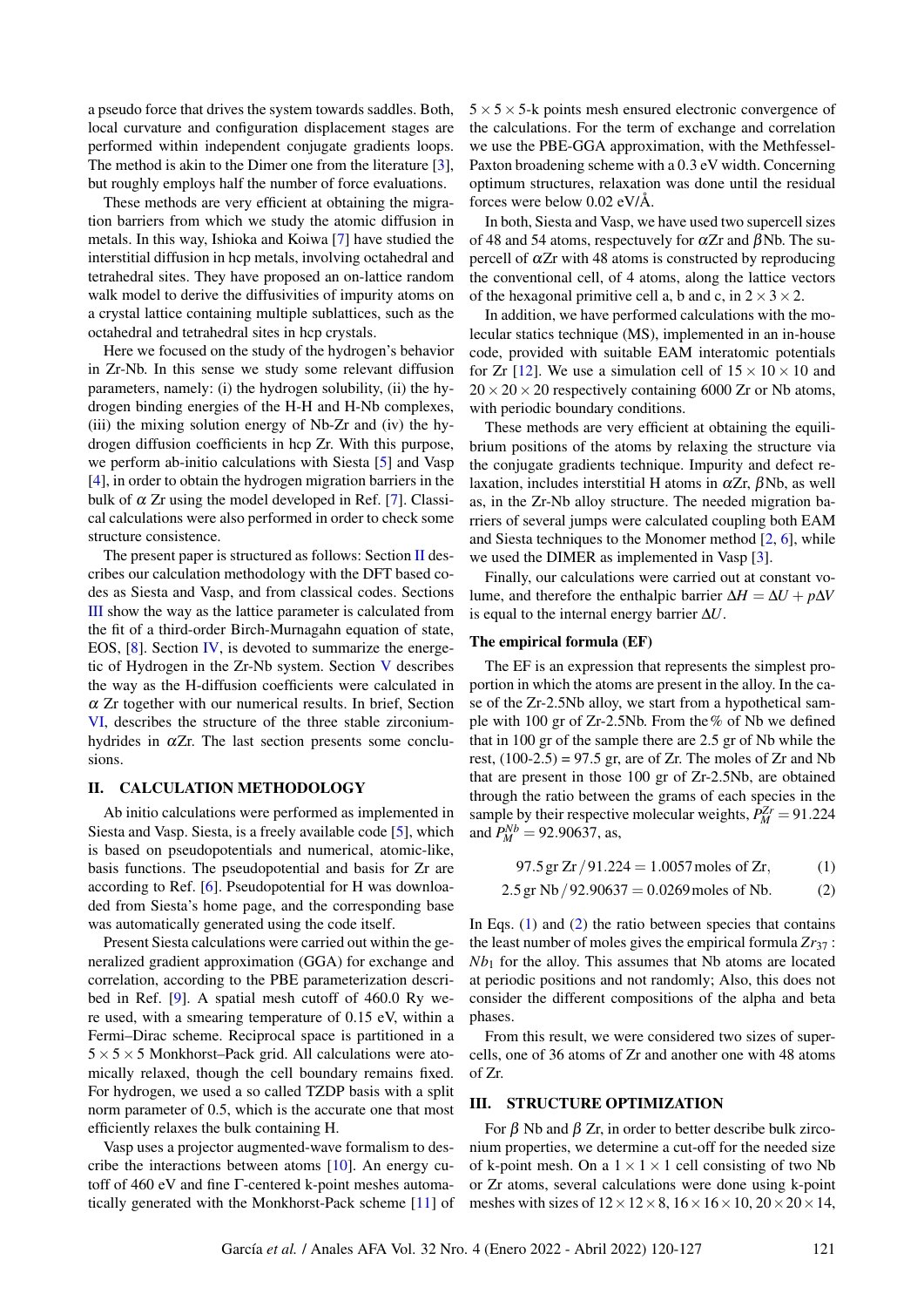a pseudo force that drives the system towards saddles. Both, local curvature and configuration displacement stages are performed within independent conjugate gradients loops. The method is akin to the Dimer one from the literature [\[3\]](#page-6-2), but roughly employs half the number of force evaluations.

These methods are very efficient at obtaining the migration barriers from which we study the atomic diffusion in metals. In this way, Ishioka and Koiwa [\[7\]](#page-6-6) have studied the interstitial diffusion in hcp metals, involving octahedral and tetrahedral sites. They have proposed an on-lattice random walk model to derive the diffusivities of impurity atoms on a crystal lattice containing multiple sublattices, such as the octahedral and tetrahedral sites in hcp crystals.

Here we focused on the study of the hydrogen's behavior in Zr-Nb. In this sense we study some relevant diffusion parameters, namely: (i) the hydrogen solubility, (ii) the hydrogen binding energies of the H-H and H-Nb complexes, (iii) the mixing solution energy of Nb-Zr and (iv) the hydrogen diffusion coefficients in hcp Zr. With this purpose, we perform ab-initio calculations with Siesta [\[5\]](#page-6-4) and Vasp [\[4\]](#page-6-3), in order to obtain the hydrogen migration barriers in the bulk of  $\alpha$  Zr using the model developed in Ref. [\[7\]](#page-6-6). Classical calculations were also performed in order to check some structure consistence.

The present paper is structured as follows: Section  $\Pi$  describes our calculation methodology with the DFT based codes as Siesta and Vasp, and from classical codes. Sections [III](#page-1-1) show the way as the lattice parameter is calculated from the fit of a third-order Birch-Murnagahn equation of state, EOS, [\[8\]](#page-6-7). Section [IV,](#page-3-0) is devoted to summarize the energetic of Hydrogen in the Zr-Nb system. Section [V](#page-4-0) describes the way as the H-diffusion coefficients were calculated in  $\alpha$  Zr together with our numerical results. In brief, Section [VI,](#page-5-0) describes the structure of the three stable zirconiumhydrides in  $\alpha Zr$ . The last section presents some conclusions.

## <span id="page-1-0"></span>II. CALCULATION METHODOLOGY

Ab initio calculations were performed as implemented in Siesta and Vasp. Siesta, is a freely available code [\[5\]](#page-6-4), which is based on pseudopotentials and numerical, atomic-like, basis functions. The pseudopotential and basis for Zr are according to Ref. [\[6\]](#page-6-5). Pseudopotential for H was downloaded from Siesta's home page, and the corresponding base was automatically generated using the code itself.

Present Siesta calculations were carried out within the generalized gradient approximation (GGA) for exchange and correlation, according to the PBE parameterization described in Ref. [\[9\]](#page-6-8). A spatial mesh cutoff of 460.0 Ry were used, with a smearing temperature of 0.15 eV, within a Fermi–Dirac scheme. Reciprocal space is partitioned in a  $5 \times 5 \times 5$  Monkhorst–Pack grid. All calculations were atomically relaxed, though the cell boundary remains fixed. For hydrogen, we used a so called TZDP basis with a split norm parameter of 0.5, which is the accurate one that most efficiently relaxes the bulk containing H.

Vasp uses a projector augmented-wave formalism to describe the interactions between atoms [\[10\]](#page-6-9). An energy cutoff of 460 eV and fine Γ-centered k-point meshes automatically generated with the Monkhorst-Pack scheme [\[11\]](#page-6-10) of  $5 \times 5 \times 5$ -k points mesh ensured electronic convergence of the calculations. For the term of exchange and correlation we use the PBE-GGA approximation, with the Methfessel-Paxton broadening scheme with a 0.3 eV width. Concerning optimum structures, relaxation was done until the residual forces were below 0.02 eV/Å.

In both, Siesta and Vasp, we have used two supercell sizes of 48 and 54 atoms, respectuvely for  $\alpha Zr$  and  $\beta$ Nb. The supercell of  $\alpha$ Zr with 48 atoms is constructed by reproducing the conventional cell, of 4 atoms, along the lattice vectors of the hexagonal primitive cell a, b and c, in  $2 \times 3 \times 2$ .

In addition, we have performed calculations with the molecular statics technique (MS), implemented in an in-house code, provided with suitable EAM interatomic potentials for Zr [\[12\]](#page-6-11). We use a simulation cell of  $15 \times 10 \times 10$  and  $20 \times 20 \times 20$  respectively containing 6000 Zr or Nb atoms, with periodic boundary conditions.

These methods are very efficient at obtaining the equilibrium positions of the atoms by relaxing the structure via the conjugate gradients technique. Impurity and defect relaxation, includes interstitial H atoms in  $\alpha Zr$ ,  $\beta Nb$ , as well as, in the Zr-Nb alloy structure. The needed migration barriers of several jumps were calculated coupling both EAM and Siesta techniques to the Monomer method [\[2,](#page-6-1) [6\]](#page-6-5), while we used the DIMER as implemented in Vasp [\[3\]](#page-6-2).

Finally, our calculations were carried out at constant volume, and therefore the enthalpic barrier  $\Delta H = \Delta U + p\Delta V$ is equal to the internal energy barrier ∆*U*.

#### The empirical formula (EF)

The EF is an expression that represents the simplest proportion in which the atoms are present in the alloy. In the case of the Zr-2.5Nb alloy, we start from a hypothetical sample with 100 gr of Zr-2.5Nb. From the% of Nb we defined that in 100 gr of the sample there are 2.5 gr of Nb while the rest,  $(100-2.5) = 97.5$  gr, are of Zr. The moles of Zr and Nb that are present in those 100 gr of Zr-2.5Nb, are obtained through the ratio between the grams of each species in the sample by their respective molecular weights,  $P_M^{Zr} = 91.224$ and  $P_M^{Nb} = 92.90637$ , as,

<span id="page-1-2"></span>
$$
97.5 \,\text{gr} \,\text{Zr} / 91.224 = 1.0057 \,\text{moles of Zr}, \tag{1}
$$

$$
2.5 \text{ gr Nb} / 92.90637 = 0.0269 \text{ moles of Nb.} \tag{2}
$$

In Eqs.  $(1)$  and  $(2)$  the ratio between species that contains the least number of moles gives the empirical formula  $Zr_{37}$ :  $Nb<sub>1</sub>$  for the alloy. This assumes that Nb atoms are located at periodic positions and not randomly; Also, this does not consider the different compositions of the alpha and beta phases.

From this result, we were considered two sizes of supercells, one of 36 atoms of Zr and another one with 48 atoms of Zr.

## <span id="page-1-1"></span>III. STRUCTURE OPTIMIZATION

For  $β$  Nb and  $β$  Zr, in order to better describe bulk zirconium properties, we determine a cut-off for the needed size of k-point mesh. On a  $1 \times 1 \times 1$  cell consisting of two Nb or Zr atoms, several calculations were done using k-point meshes with sizes of  $12 \times 12 \times 8$ ,  $16 \times 16 \times 10$ ,  $20 \times 20 \times 14$ ,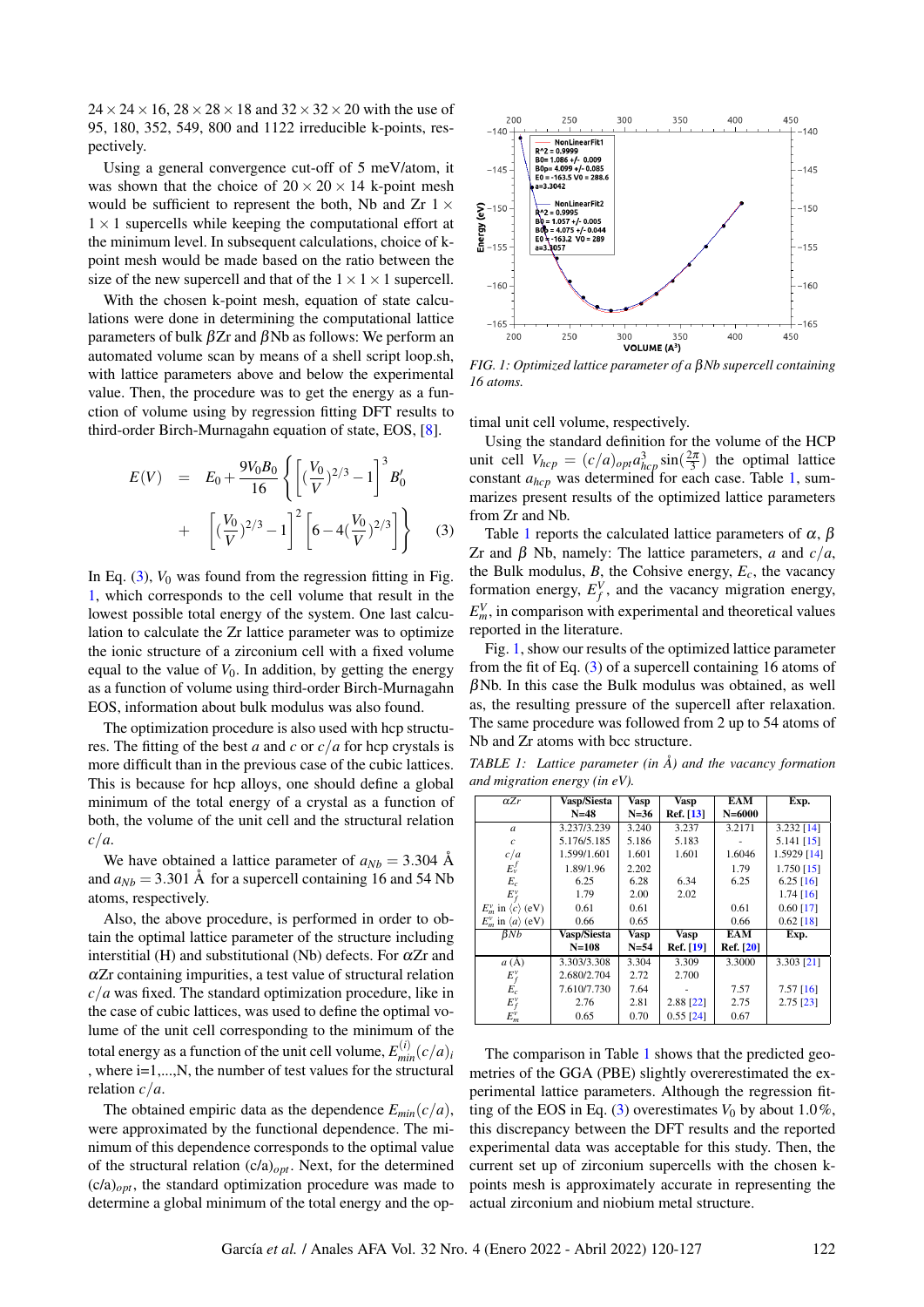$24 \times 24 \times 16$ ,  $28 \times 28 \times 18$  and  $32 \times 32 \times 20$  with the use of 95, 180, 352, 549, 800 and 1122 irreducible k-points, respectively.

Using a general convergence cut-off of 5 meV/atom, it was shown that the choice of  $20 \times 20 \times 14$  k-point mesh would be sufficient to represent the both. Nb and Zr  $1 \times$  $1 \times 1$  supercells while keeping the computational effort at the minimum level. In subsequent calculations, choice of kpoint mesh would be made based on the ratio between the size of the new supercell and that of the  $1 \times 1 \times 1$  supercell.

With the chosen k-point mesh, equation of state calculations were done in determining the computational lattice parameters of bulk βZr and βNb as follows: We perform an automated volume scan by means of a shell script loop.sh, with lattice parameters above and below the experimental value. Then, the procedure was to get the energy as a function of volume using by regression fitting DFT results to third-order Birch-Murnagahn equation of state, EOS, [\[8\]](#page-6-7).

<span id="page-2-0"></span>
$$
E(V) = E_0 + \frac{9V_0B_0}{16} \left\{ \left[ \left( \frac{V_0}{V} \right)^{2/3} - 1 \right]^3 B'_0 \right. \\ + \left[ \left( \frac{V_0}{V} \right)^{2/3} - 1 \right]^2 \left[ 6 - 4 \left( \frac{V_0}{V} \right)^{2/3} \right] \right\} \tag{3}
$$

In Eq.  $(3)$ ,  $V_0$  was found from the regression fitting in Fig. [1,](#page-2-1) which corresponds to the cell volume that result in the lowest possible total energy of the system. One last calculation to calculate the Zr lattice parameter was to optimize the ionic structure of a zirconium cell with a fixed volume equal to the value of  $V_0$ . In addition, by getting the energy as a function of volume using third-order Birch-Murnagahn EOS, information about bulk modulus was also found.

The optimization procedure is also used with hcp structures. The fitting of the best *a* and *c* or *c*/*a* for hcp crystals is more difficult than in the previous case of the cubic lattices. This is because for hcp alloys, one should define a global minimum of the total energy of a crystal as a function of both, the volume of the unit cell and the structural relation *c*/*a*.

We have obtained a lattice parameter of  $a_{Nb} = 3.304$  Å and  $a_{Nb} = 3.301$  Å for a supercell containing 16 and 54 Nb atoms, respectively.

Also, the above procedure, is performed in order to obtain the optimal lattice parameter of the structure including interstitial (H) and substitutional (Nb) defects. For  $\alpha Zr$  and  $\alpha$ Zr containing impurities, a test value of structural relation *c*/*a* was fixed. The standard optimization procedure, like in the case of cubic lattices, was used to define the optimal volume of the unit cell corresponding to the minimum of the total energy as a function of the unit cell volume,  $E_{min}^{(i)}(c/a)_{i}$ , where i=1,...,N, the number of test values for the structural relation *c*/*a*.

The obtained empiric data as the dependence  $E_{min}(c/a)$ , were approximated by the functional dependence. The minimum of this dependence corresponds to the optimal value of the structural relation (c/a)*opt*. Next, for the determined  $(c/a)_{opt}$ , the standard optimization procedure was made to determine a global minimum of the total energy and the op-

<span id="page-2-1"></span>

*FIG. 1: Optimized lattice parameter of a* β*Nb supercell containing 16 atoms.*

timal unit cell volume, respectively.

Using the standard definition for the volume of the HCP unit cell  $V_{hcp} = (c/a)_{opt} a_{hcp}^3 \sin(\frac{2\pi}{3})$  the optimal lattice constant *ahcp* was determined for each case. Table [1,](#page-2-2) summarizes present results of the optimized lattice parameters from Zr and Nb.

Table [1](#page-2-2) reports the calculated lattice parameters of  $\alpha$ ,  $\beta$ Zr and β Nb, namely: The lattice parameters, *a* and *c*/*a*, the Bulk modulus,  $B$ , the Cohsive energy,  $E_c$ , the vacancy formation energy,  $E_f^V$ , and the vacancy migration energy,  $E_m^V$ , in comparison with experimental and theoretical values reported in the literature.

Fig. [1,](#page-2-1) show our results of the optimized lattice parameter from the fit of Eq. [\(3\)](#page-2-0) of a supercell containing 16 atoms of  $\beta$ Nb. In this case the Bulk modulus was obtained, as well as, the resulting pressure of the supercell after relaxation. The same procedure was followed from 2 up to 54 atoms of Nb and Zr atoms with bcc structure.

<span id="page-2-2"></span>*TABLE 1: Lattice parameter (in Å) and the vacancy formation and migration energy (in eV).*

| $\alpha Zr$                         | Vasp/Siesta | <b>Vasp</b> | <b>Vasp</b> | <b>EAM</b> | Exp.         |
|-------------------------------------|-------------|-------------|-------------|------------|--------------|
|                                     | $N = 48$    | $N = 36$    | Ref. [13]   | $N = 6000$ |              |
| $\boldsymbol{a}$                    | 3.237/3.239 | 3.240       | 3.237       | 3.2171     | 3.232 [14]   |
| $\mathcal{C}$                       | 5.176/5.185 | 5.186       | 5.183       |            | $5.141$ [15] |
| c/a                                 | 1.599/1.601 | 1.601       | 1.601       | 1.6046     | 1.5929 [14]  |
| $E_v^f$                             | 1.89/1.96   | 2.202       |             | 1.79       | $1.750$ [15] |
| $E_c$                               | 6.25        | 6.28        | 6.34        | 6.25       | $6.25$ [16]  |
| $E_f^v$                             | 1.79        | 2.00        | 2.02        |            | $1.74$ [16]  |
| $E_w^v$ in $\langle c \rangle$ (eV) | 0.61        | 0.61        |             | 0.61       | $0.60$ [17]  |
| $E_w^v$ in $\langle a \rangle$ (eV) | 0.66        | 0.65        |             | 0.66       | $0.62$ [18]  |
| $\beta Nb$                          | Vasp/Siesta | <b>Vasp</b> | <b>Vasp</b> | <b>EAM</b> | Exp.         |
|                                     | $N = 108$   | $N=54$      | Ref. [19]   | Ref. [20]  |              |
| $a(\check{A})$                      | 3.303/3.308 | 3.304       | 3.309       | 3.3000     | 3.303 [21]   |
| $E_f^v$                             | 2.680/2.704 | 2.72        | 2.700       |            |              |
| $E_c$                               | 7.610/7.730 | 7.64        |             | 7.57       | $7.57$ [16]  |
| $E_f^v$                             | 2.76        | 2.81        | 2.88 [22]   | 2.75       | $2.75$ [23]  |
| $E_m^v$                             | 0.65        | 0.70        | $0.55$ [24] | 0.67       |              |

The comparison in Table [1](#page-2-2) shows that the predicted geometries of the GGA (PBE) slightly overerestimated the experimental lattice parameters. Although the regression fit-ting of the EOS in Eq. [\(3\)](#page-2-0) overestimates  $V_0$  by about 1.0%, this discrepancy between the DFT results and the reported experimental data was acceptable for this study. Then, the current set up of zirconium supercells with the chosen kpoints mesh is approximately accurate in representing the actual zirconium and niobium metal structure.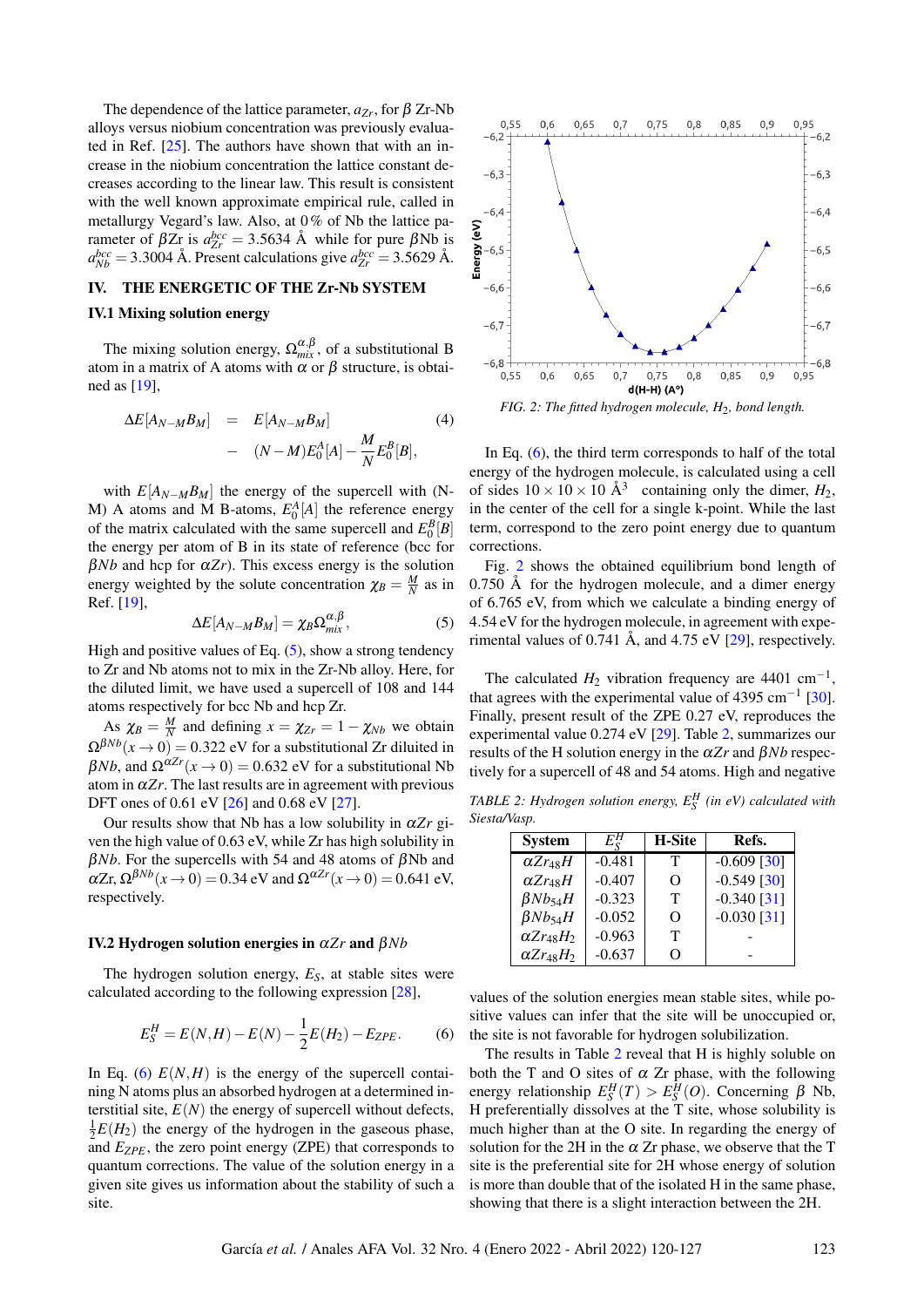The dependence of the lattice parameter,  $a_{Zr}$ , for  $\beta$  Zr-Nb alloys versus niobium concentration was previously evaluated in Ref. [\[25\]](#page-7-12). The authors have shown that with an increase in the niobium concentration the lattice constant decreases according to the linear law. This result is consistent with the well known approximate empirical rule, called in metallurgy Vegard's law. Also, at 0% of Nb the lattice parameter of  $βZr$  is  $a_{Zr}^{bcc} = 3.5634$  Å while for pure  $βNb$  is  $a_{Nb}^{bcc} = 3.3004$  Å. Present calculations give  $a_{Zr}^{bcc} = 3.5629$  Å.

#### <span id="page-3-0"></span>IV. THE ENERGETIC OF THE Zr-Nb SYSTEM

#### IV.1 Mixing solution energy

The mixing solution energy,  $\Omega_{mix}^{\alpha,\beta}$ , of a substitutional B atom in a matrix of A atoms with  $\alpha$  or  $\beta$  structure, is obtained as [\[19\]](#page-7-6),

$$
\Delta E[A_{N-M}B_M] = E[A_{N-M}B_M]
$$
\n
$$
- (N-M)E_0^A[A] - \frac{M}{N}E_0^B[B],
$$
\n(4)

with  $E[A_{N-M}B_M]$  the energy of the supercell with (N-M) A atoms and M B-atoms,  $E_0^A[A]$  the reference energy of the matrix calculated with the same supercell and  $E_0^B[B]$ the energy per atom of B in its state of reference (bcc for  $\beta Nb$  and hcp for  $\alpha Zr$ ). This excess energy is the solution energy weighted by the solute concentration  $\chi_B = \frac{M}{N}$  as in Ref. [\[19\]](#page-7-6),

<span id="page-3-1"></span>
$$
\Delta E[A_{N-M}B_M] = \chi_B \Omega_{mix}^{\alpha,\beta},\tag{5}
$$

High and positive values of Eq.  $(5)$ , show a strong tendency to Zr and Nb atoms not to mix in the Zr-Nb alloy. Here, for the diluted limit, we have used a supercell of 108 and 144 atoms respectively for bcc Nb and hcp Zr.

As  $\chi_B = \frac{M}{N}$  and defining  $x = \chi_{Zr} = 1 - \chi_{Nb}$  we obtain  $\Omega^{\beta Nb}(x \to 0) = 0.322$  eV for a substitutional Zr diluited in  $βNb$ , and  $Ω<sup>αZr</sup>(x \to 0) = 0.632$  eV for a substitutional Nb atom in  $\alpha Zr$ . The last results are in agreement with previous DFT ones of 0.61 eV [\[26\]](#page-7-13) and 0.68 eV [\[27\]](#page-7-14).

Our results show that Nb has a low solubility in  $\alpha Zr$  given the high value of 0.63 eV, while Zr has high solubility in  $βNb$ . For the supercells with 54 and 48 atoms of  $βNb$  and  $\alpha Z$ r,  $\Omega^{\beta Nb}(x \to 0) = 0.34$  eV and  $\Omega^{\alpha Zr}(x \to 0) = 0.641$  eV, respectively.

#### IV.2 Hydrogen solution energies in α*Zr* and β*Nb*

The hydrogen solution energy, *ES*, at stable sites were calculated according to the following expression [\[28\]](#page-7-15),

$$
E_S^H = E(N, H) - E(N) - \frac{1}{2}E(H_2) - E_{ZPE}.
$$
 (6)

In Eq. [\(6\)](#page-3-2)  $E(N,H)$  is the energy of the supercell containing N atoms plus an absorbed hydrogen at a determined interstitial site,  $E(N)$  the energy of supercell without defects,  $\frac{1}{2}E(H_2)$  the energy of the hydrogen in the gaseous phase, and *EZPE*, the zero point energy (ZPE) that corresponds to quantum corrections. The value of the solution energy in a given site gives us information about the stability of such a site.

<span id="page-3-3"></span>

*FIG. 2: The fitted hydrogen molecule, H*2*, bond length.*

In Eq.  $(6)$ , the third term corresponds to half of the total energy of the hydrogen molecule, is calculated using a cell of sides  $10 \times 10 \times 10 \text{ Å}^3$  containing only the dimer,  $H_2$ , in the center of the cell for a single k-point. While the last term, correspond to the zero point energy due to quantum corrections.

Fig. [2](#page-3-3) shows the obtained equilibrium bond length of 0.750 Å for the hydrogen molecule, and a dimer energy of 6.765 eV, from which we calculate a binding energy of 4.54 eV for the hydrogen molecule, in agreement with experimental values of 0.741 Å, and 4.75 eV  $[29]$ , respectively.

The calculated  $H_2$  vibration frequency are 4401 cm<sup>-1</sup>, that agrees with the experimental value of 4395 cm<sup>-1</sup> [\[30\]](#page-7-17). Finally, present result of the ZPE 0.27 eV, reproduces the experimental value 0.274 eV [\[29\]](#page-7-16). Table [2,](#page-3-4) summarizes our results of the H solution energy in the α*Zr* and β*Nb* respectively for a supercell of 48 and 54 atoms. High and negative

<span id="page-3-4"></span>*TABLE 2: Hydrogen solution energy,*  $E_S^H$  (in eV) calculated with *Siesta/Vasp.*

| <b>System</b>       | $E_\mathrm{c}^H$ | <b>H-Site</b> | Refs.         |
|---------------------|------------------|---------------|---------------|
| $\alpha Zr_{48}H$   | $-0.481$         | т             | $-0.609$ [30] |
| $\alpha Zr_{48}H$   | $-0.407$         | O             | $-0.549$ [30] |
| $\beta Nb_{54}H$    | $-0.323$         | Т             | $-0.340$ [31] |
| $\beta Nb_{54}H$    | $-0.052$         | O             | $-0.030$ [31] |
| $\alpha Zr_{48}H_2$ | $-0.963$         | Т             |               |
| $\alpha Zr_{48}H_2$ | $-0.637$         | Ω             |               |

<span id="page-3-2"></span>values of the solution energies mean stable sites, while positive values can infer that the site will be unoccupied or, the site is not favorable for hydrogen solubilization.

The results in Table [2](#page-3-4) reveal that H is highly soluble on both the T and O sites of  $\alpha$  Zr phase, with the following energy relationship  $E_S^H(T) > E_S^H(O)$ . Concerning  $\beta$  Nb, H preferentially dissolves at the T site, whose solubility is much higher than at the O site. In regarding the energy of solution for the 2H in the  $\alpha$  Zr phase, we observe that the T site is the preferential site for 2H whose energy of solution is more than double that of the isolated H in the same phase, showing that there is a slight interaction between the 2H.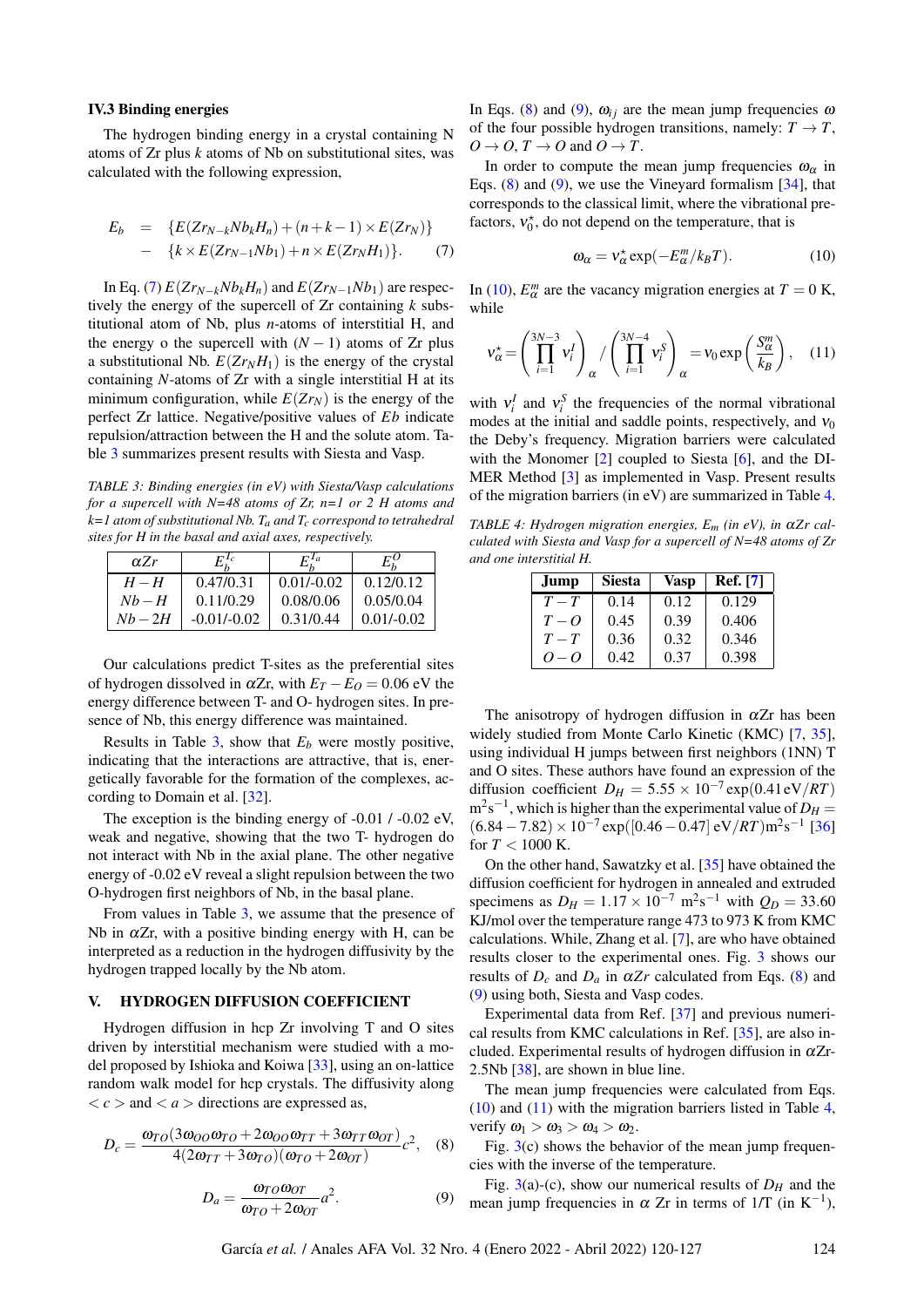#### IV.3 Binding energies

The hydrogen binding energy in a crystal containing N atoms of Zr plus *k* atoms of Nb on substitutional sites, was calculated with the following expression,

<span id="page-4-1"></span>
$$
E_b = \{E(Zr_{N-k}Nb_kH_n) + (n+k-1) \times E(Zr_N)\}
$$
  
- 
$$
\{k \times E(Zr_{N-1}Nb_1) + n \times E(Zr_NH_1)\}.
$$
 (7)

In Eq. [\(7\)](#page-4-1)  $E(Zr_{N-k}Nb_kH_n)$  and  $E(Zr_{N-1}Nb_1)$  are respectively the energy of the supercell of Zr containing *k* substitutional atom of Nb, plus *n*-atoms of interstitial H, and the energy o the supercell with  $(N - 1)$  atoms of Zr plus a substitutional Nb.  $E(Zr_NH_1)$  is the energy of the crystal containing *N*-atoms of Zr with a single interstitial H at its minimum configuration, while  $E(Zr_N)$  is the energy of the perfect Zr lattice. Negative/positive values of *Eb* indicate repulsion/attraction between the H and the solute atom. Table [3](#page-4-2) summarizes present results with Siesta and Vasp.

<span id="page-4-2"></span>*TABLE 3: Binding energies (in eV) with Siesta/Vasp calculations for a supercell with N=48 atoms of Zr, n=1 or 2 H atoms and k=1 atom of substitutional Nb. Ta and Tc correspond to tetrahedral sites for H in the basal and axial axes, respectively.*

| $\alpha Zr$ | $E_{b}^{I_c}$ | $E^{Ia}_t$   | $E_{k}^{O}$  |
|-------------|---------------|--------------|--------------|
| $H-H$       | 0.47/0.31     | $0.01/-0.02$ | 0.12/0.12    |
| $Nb-H$      | 0.11/0.29     | 0.08/0.06    | 0.05/0.04    |
| $Nb-2H$     | $-0.01/-0.02$ | 0.31/0.44    | $0.01/-0.02$ |

Our calculations predict T-sites as the preferential sites of hydrogen dissolved in  $\alpha Zr$ , with  $E_T - E_O = 0.06$  eV the energy difference between T- and O- hydrogen sites. In presence of Nb, this energy difference was maintained.

Results in Table  $3$ , show that  $E_b$  were mostly positive, indicating that the interactions are attractive, that is, energetically favorable for the formation of the complexes, according to Domain et al. [\[32\]](#page-7-19).

The exception is the binding energy of -0.01 / -0.02 eV, weak and negative, showing that the two T- hydrogen do not interact with Nb in the axial plane. The other negative energy of -0.02 eV reveal a slight repulsion between the two O-hydrogen first neighbors of Nb, in the basal plane.

From values in Table [3,](#page-4-2) we assume that the presence of Nb in  $\alpha$ Zr, with a positive binding energy with H, can be interpreted as a reduction in the hydrogen diffusivity by the hydrogen trapped locally by the Nb atom.

#### <span id="page-4-0"></span>V. HYDROGEN DIFFUSION COEFFICIENT

Hydrogen diffusion in hcp Zr involving T and O sites driven by interstitial mechanism were studied with a model proposed by Ishioka and Koiwa [\[33\]](#page-7-20), using an on-lattice random walk model for hcp crystals. The diffusivity along  $\langle c \rangle$  and  $\langle a \rangle$  directions are expressed as,

<span id="page-4-4"></span>
$$
D_c = \frac{\omega_{TO}(3\omega_{OO}\omega_{TO} + 2\omega_{OO}\omega_{TT} + 3\omega_{TT}\omega_{OT})}{4(2\omega_{TT} + 3\omega_{TO})(\omega_{TO} + 2\omega_{OT})}c^2, \quad (8)
$$

$$
D_a = \frac{\omega_{TO}\omega_{OT}}{\omega_{TO} + 2\omega_{OT}}a^2.
$$
 (9)

In Eqs. [\(8\)](#page-4-3) and [\(9\)](#page-4-4),  $\omega_{ij}$  are the mean jump frequencies  $\omega$ of the four possible hydrogen transitions, namely:  $T \rightarrow T$ ,  $O \rightarrow O$ ,  $T \rightarrow O$  and  $O \rightarrow T$ .

In order to compute the mean jump frequencies  $\omega_{\alpha}$  in Eqs. [\(8\)](#page-4-3) and [\(9\)](#page-4-4), we use the Vineyard formalism [\[34\]](#page-7-21), that corresponds to the classical limit, where the vibrational prefactors,  $v_0^*$ , do not depend on the temperature, that is

<span id="page-4-5"></span>
$$
\omega_{\alpha} = v_{\alpha}^* \exp(-E_{\alpha}^m / k_B T). \tag{10}
$$

<span id="page-4-7"></span>In [\(10\)](#page-4-5),  $E^m_\alpha$  are the vacancy migration energies at  $T = 0$  K, while

$$
\mathbf{v}_{\alpha}^{\star} = \left(\prod_{i=1}^{3N-3} \mathbf{v}_i^I\right)_{\alpha} / \left(\prod_{i=1}^{3N-4} \mathbf{v}_i^S\right)_{\alpha} = \mathbf{v}_0 \exp\left(\frac{S_{\alpha}^m}{k_B}\right), \quad (11)
$$

with  $v_i^I$  and  $v_i^S$  the frequencies of the normal vibrational modes at the initial and saddle points, respectively, and  $v_0$ the Deby's frequency. Migration barriers were calculated with the Monomer [\[2\]](#page-6-1) coupled to Siesta [\[6\]](#page-6-5), and the DI-MER Method [\[3\]](#page-6-2) as implemented in Vasp. Present results of the migration barriers (in eV) are summarized in Table [4.](#page-4-6)

<span id="page-4-6"></span>*TABLE 4: Hydrogen migration energies,*  $E_m$  (in eV), in α*Zr calculated with Siesta and Vasp for a supercell of N=48 atoms of Zr and one interstitial H.*

| Jump    | <b>Siesta</b> | Vasp | <b>Ref.</b> [7] |
|---------|---------------|------|-----------------|
| $T-T$   | 0.14          | 0.12 | 0.129           |
| $T - Q$ | 0.45          | 0.39 | 0.406           |
| $T-T$   | 0.36          | 0.32 | 0.346           |
| $O-O$   | 0.42          | 0.37 | 0.398           |

The anisotropy of hydrogen diffusion in  $\alpha Zr$  has been widely studied from Monte Carlo Kinetic (KMC) [\[7,](#page-6-6) [35\]](#page-7-22), using individual H jumps between first neighbors (1NN) T and O sites. These authors have found an expression of the diffusion coefficient  $D_H = 5.55 \times 10^{-7} \exp(0.41 \text{ eV}/RT)$  $m^2s^{-1}$ , which is higher than the experimental value of  $D_H =$  $(6.84 - 7.82) \times 10^{-7}$  exp([0.46 – 0.47] eV/*RT*)m<sup>2</sup>s<sup>-1</sup> [\[36\]](#page-7-23) for  $T < 1000$  K.

On the other hand, Sawatzky et al. [\[35\]](#page-7-22) have obtained the diffusion coefficient for hydrogen in annealed and extruded specimens as  $D_H = 1.17 \times 10^{-7} \text{ m}^2 \text{s}^{-1}$  with  $Q_D = 33.60$ KJ/mol over the temperature range 473 to 973 K from KMC calculations. While, Zhang et al. [\[7\]](#page-6-6), are who have obtained results closer to the experimental ones. Fig. [3](#page-5-1) shows our results of  $D_c$  and  $D_a$  in  $\alpha Zr$  calculated from Eqs. [\(8\)](#page-4-3) and [\(9\)](#page-4-4) using both, Siesta and Vasp codes.

Experimental data from Ref. [\[37\]](#page-7-24) and previous numerical results from KMC calculations in Ref. [\[35\]](#page-7-22), are also included. Experimental results of hydrogen diffusion in  $\alpha Zr$ -2.5Nb [\[38\]](#page-7-25), are shown in blue line.

<span id="page-4-3"></span>The mean jump frequencies were calculated from Eqs. [\(10\)](#page-4-5) and [\(11\)](#page-4-7) with the migration barriers listed in Table [4,](#page-4-6) verify  $\omega_1 > \omega_3 > \omega_4 > \omega_2$ .

Fig.  $3(c)$  $3(c)$  shows the behavior of the mean jump frequencies with the inverse of the temperature.

Fig. [3\(](#page-5-1)a)-(c), show our numerical results of  $D<sub>H</sub>$  and the mean jump frequencies in  $\alpha$  Zr in terms of 1/T (in K<sup>-1</sup>),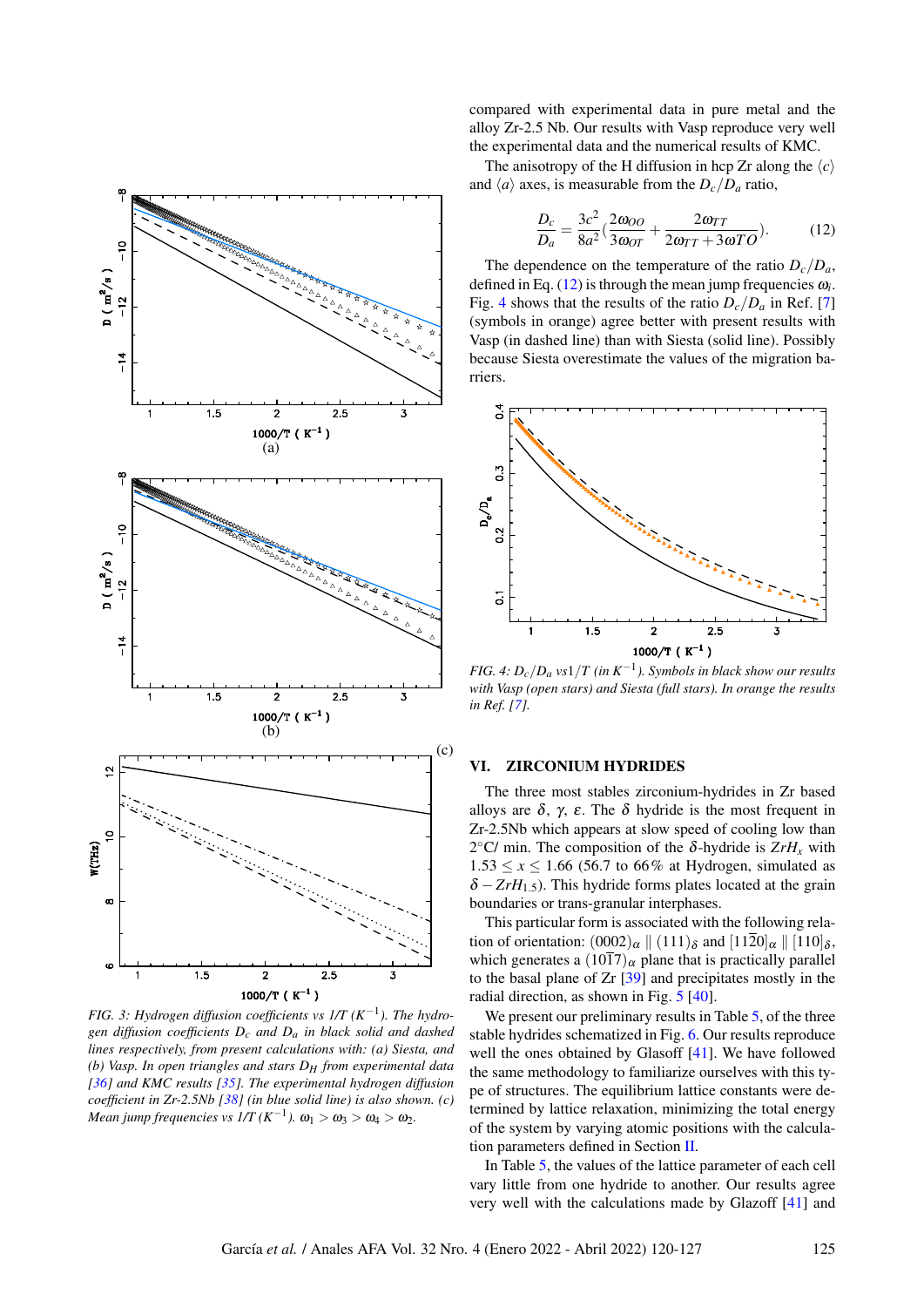<span id="page-5-1"></span>

*FIG. 3: Hydrogen diffusion coefficients vs 1/T (K*−<sup>1</sup> *). The hydrogen diffusion coefficients Dc and Da in black solid and dashed lines respectively, from present calculations with: (a) Siesta, and (b) Vasp. In open triangles and stars DH from experimental data [\[36\]](#page-7-23) and KMC results [\[35\]](#page-7-22). The experimental hydrogen diffusion coefficient in Zr-2.5Nb [\[38\]](#page-7-25) (in blue solid line) is also shown. (c)*  $Mean\ jump\ frequencies\ vs\ I/T\ (K^{-1}) .\ \omega_1>\omega_3>\omega_4>\omega_2.$ 

compared with experimental data in pure metal and the alloy Zr-2.5 Nb. Our results with Vasp reproduce very well the experimental data and the numerical results of KMC.

<span id="page-5-2"></span>The anisotropy of the H diffusion in hcp Zr along the  $\langle c \rangle$ and  $\langle a \rangle$  axes, is measurable from the  $D_c/D_a$  ratio,

$$
\frac{D_c}{D_a} = \frac{3c^2}{8a^2} \left( \frac{2\omega_{OO}}{3\omega_{OT}} + \frac{2\omega_{TT}}{2\omega_{TT} + 3\omega_{TO}} \right). \tag{12}
$$

The dependence on the temperature of the ratio  $D_c/D_a$ , defined in Eq.  $(12)$  is through the mean jump frequencies  $\omega_i$ . Fig. [4](#page-5-3) shows that the results of the ratio  $D_c/D_a$  in Ref. [\[7\]](#page-6-6) (symbols in orange) agree better with present results with Vasp (in dashed line) than with Siesta (solid line). Possibly because Siesta overestimate the values of the migration barriers.

<span id="page-5-3"></span>

*FIG. 4: Dc*/*D<sup>a</sup> vs*1/*T (in K*−<sup>1</sup> *). Symbols in black show our results with Vasp (open stars) and Siesta (full stars). In orange the results in Ref. [\[7\]](#page-6-6).*

## <span id="page-5-0"></span>VI. ZIRCONIUM HYDRIDES

The three most stables zirconium-hydrides in Zr based alloys are  $\delta$ ,  $\gamma$ ,  $\varepsilon$ . The  $\delta$  hydride is the most frequent in Zr-2.5Nb which appears at slow speed of cooling low than 2<sup>°</sup>C/ min. The composition of the δ-hydride is  $ZrH<sub>x</sub>$  with  $1.53 \le x \le 1.66$  (56.7 to 66% at Hydrogen, simulated as  $\delta$  – *ZrH*<sub>1.5</sub>). This hydride forms plates located at the grain boundaries or trans-granular interphases.

This particular form is associated with the following relation of orientation:  $(0002)_{\alpha} \parallel (111)_{\delta}$  and  $[1120]_{\alpha} \parallel [110]_{\delta}$ , which generates a  $(10\overline{1}7)_{\alpha}$  plane that is practically parallel to the basal plane of Zr [\[39\]](#page-7-26) and precipitates mostly in the radial direction, as shown in Fig. [5](#page-6-12) [\[40\]](#page-7-27).

We present our preliminary results in Table [5,](#page-6-13) of the three stable hydrides schematized in Fig. [6.](#page-6-14) Our results reproduce well the ones obtained by Glasoff [\[41\]](#page-7-28). We have followed the same methodology to familiarize ourselves with this type of structures. The equilibrium lattice constants were determined by lattice relaxation, minimizing the total energy of the system by varying atomic positions with the calculation parameters defined in Section [II.](#page-1-0)

In Table [5,](#page-6-13) the values of the lattice parameter of each cell vary little from one hydride to another. Our results agree very well with the calculations made by Glazoff [\[41\]](#page-7-28) and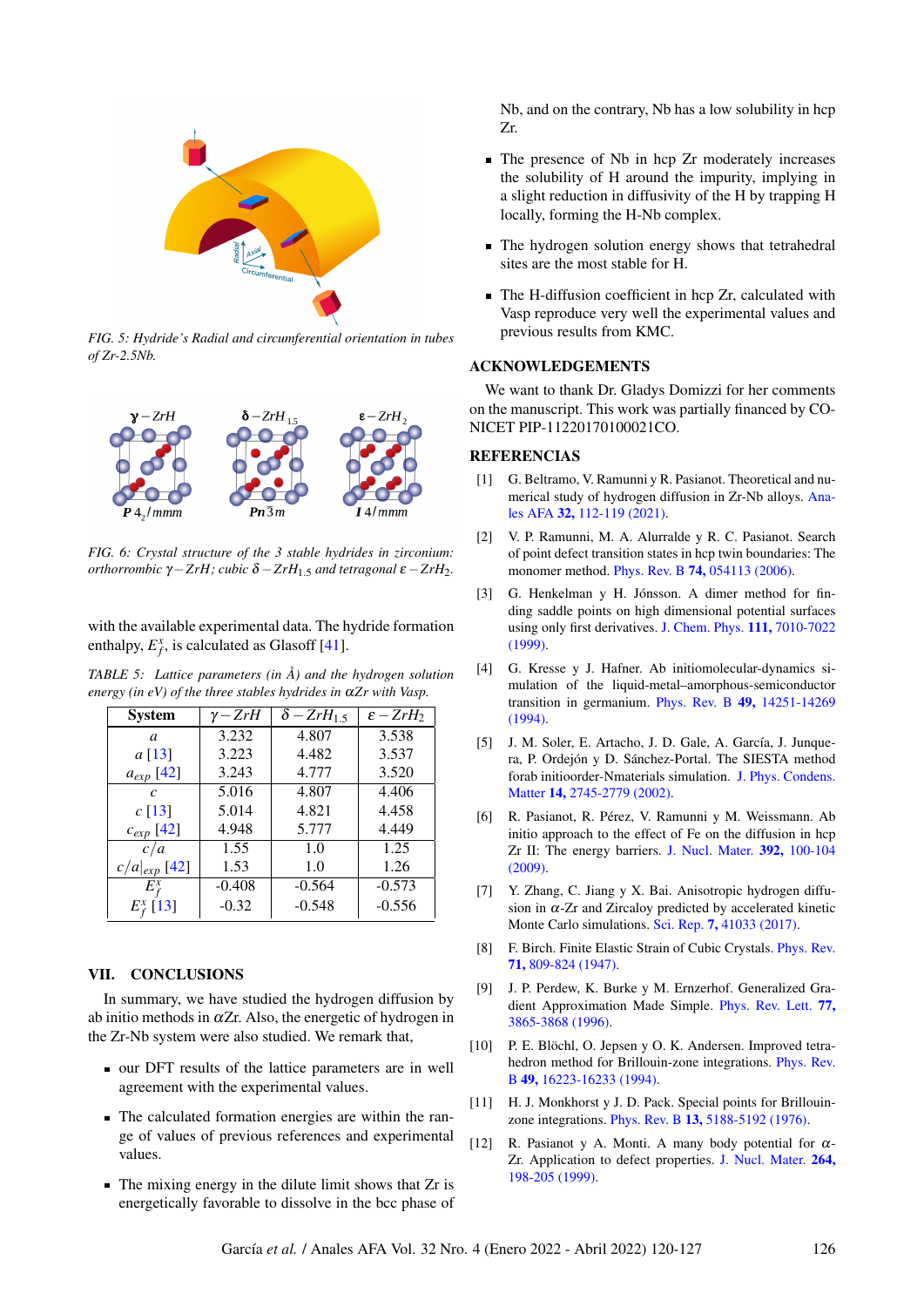<span id="page-6-12"></span>

*FIG. 5: Hydride's Radial and circumferential orientation in tubes of Zr-2.5Nb.*

<span id="page-6-14"></span>

*FIG. 6: Crystal structure of the 3 stable hydrides in zirconium: orthorrombic*  $γ$  − *ZrH; cubic*  $δ$  − *ZrH*<sub>1</sub>, *c and tetragonal*  $ε$  − *ZrH*<sub>2</sub>*.* 

with the available experimental data. The hydride formation enthalpy,  $E_f^x$ , is calculated as Glasoff [\[41\]](#page-7-28).

<span id="page-6-13"></span>*TABLE 5: Lattice parameters (in Å) and the hydrogen solution energy (in eV) of the three stables hydrides in* α*Zr with Vasp.*

| <b>System</b>     | $\gamma$ – $ZrH$ | $\delta - ZrH_{1.5}$ | $\varepsilon$ - $ZrH_2$ |
|-------------------|------------------|----------------------|-------------------------|
| a                 | 3.232            | 4.807                | 3.538                   |
| a [13]            | 3.223            | 4.482                | 3.537                   |
| $a_{exp}$ [42]    | 3.243            | 4.777                | 3.520                   |
| $\mathcal{C}$     | 5.016            | 4.807                | 4.406                   |
| c[13]             | 5.014            | 4.821                | 4.458                   |
| $c_{exp}$ [42]    | 4.948            | 5.777                | 4.449                   |
| c/a               | 1.55             | 1.0                  | 1.25                    |
| $c/a _{exp}$ [42] | 1.53             | 1.0                  | 1.26                    |
| $E_{f}^{x}$       | $-0.408$         | $-0.564$             | $-0.573$                |
| $E_{f}^{x}$ [13]  | $-0.32$          | $-0.548$             | $-0.556$                |

## VII. CONCLUSIONS

In summary, we have studied the hydrogen diffusion by ab initio methods in  $\alpha Zr$ . Also, the energetic of hydrogen in the Zr-Nb system were also studied. We remark that,

- our DFT results of the lattice parameters are in well agreement with the experimental values.
- The calculated formation energies are within the range of values of previous references and experimental values.
- $\blacksquare$  The mixing energy in the dilute limit shows that Zr is energetically favorable to dissolve in the bcc phase of

Nb, and on the contrary, Nb has a low solubility in hcp Zr.

- The presence of Nb in hcp Zr moderately increases the solubility of H around the impurity, implying in a slight reduction in diffusivity of the H by trapping H locally, forming the H-Nb complex.
- The hydrogen solution energy shows that tetrahedral sites are the most stable for H.
- The H-diffusion coefficient in hcp Zr, calculated with Vasp reproduce very well the experimental values and previous results from KMC.

## ACKNOWLEDGEMENTS

We want to thank Dr. Gladys Domizzi for her comments on the manuscript. This work was partially financed by CO-NICET PIP-11220170100021CO.

## REFERENCIAS

- <span id="page-6-0"></span>[1] G. Beltramo, V. Ramunni y R. Pasianot. Theoretical and numerical study of hydrogen diffusion in Zr-Nb alloys. [Ana](http://dx.doi.org/https://doi.org/10.31527/analesafa.2021.32.4.112)les AFA 32, [112-119](http://dx.doi.org/https://doi.org/10.31527/analesafa.2021.32.4.112) [\(2021\).](http://dx.doi.org/https://doi.org/10.31527/analesafa.2021.32.4.112)
- <span id="page-6-1"></span>[2] V. P. Ramunni, M. A. Alurralde y R. C. Pasianot. Search of point defect transition states in hcp twin boundaries: The monomer method. [Phys. Rev. B](http://dx.doi.org/10.1103/physrevb.74.054113) 74, 054113 [\(2006\).](http://dx.doi.org/10.1103/physrevb.74.054113)
- <span id="page-6-2"></span>[3] G. Henkelman y H. Jónsson. A dimer method for finding saddle points on high dimensional potential surfaces using only first derivatives. [J. Chem. Phys.](http://dx.doi.org/10.1063/1.480097) 111, 7010-7022 [\(1999\).](http://dx.doi.org/10.1063/1.480097)
- <span id="page-6-3"></span>[4] G. Kresse y J. Hafner. Ab initiomolecular-dynamics simulation of the liquid-metal–amorphous-semiconductor transition in germanium. [Phys. Rev. B](http://dx.doi.org/10.1103/physrevb.49.14251) 49, 14251-14269 [\(1994\).](http://dx.doi.org/10.1103/physrevb.49.14251)
- <span id="page-6-4"></span>[5] J. M. Soler, E. Artacho, J. D. Gale, A. García, J. Junquera, P. Ordejón y D. Sánchez-Portal. The SIESTA method forab initioorder-Nmaterials simulation. [J. Phys. Condens.](http://dx.doi.org/10.1088/0953-8984/14/11/302) Matter 14, [2745-2779](http://dx.doi.org/10.1088/0953-8984/14/11/302) [\(2002\).](http://dx.doi.org/10.1088/0953-8984/14/11/302)
- <span id="page-6-5"></span>[6] R. Pasianot, R. Pérez, V. Ramunni y M. Weissmann. Ab initio approach to the effect of Fe on the diffusion in hcp Zr II: The energy barriers. [J. Nucl. Mater.](http://dx.doi.org/10.1016/j.jnucmat.2009.03.051) 392, 100-104 [\(2009\).](http://dx.doi.org/10.1016/j.jnucmat.2009.03.051)
- <span id="page-6-6"></span>[7] Y. Zhang, C. Jiang y X. Bai. Anisotropic hydrogen diffusion in  $\alpha$ -Zr and Zircaloy predicted by accelerated kinetic Monte Carlo simulations. [Sci. Rep.](http://dx.doi.org/10.1038/srep41033) 7, 41033 [\(2017\).](http://dx.doi.org/10.1038/srep41033)
- <span id="page-6-7"></span>[8] F. Birch. Finite Elastic Strain of Cubic Crystals. [Phys. Rev.](http://dx.doi.org/10.1103/physrev.71.809) 71, [809-824](http://dx.doi.org/10.1103/physrev.71.809) [\(1947\).](http://dx.doi.org/10.1103/physrev.71.809)
- <span id="page-6-8"></span>[9] J. P. Perdew, K. Burke y M. Ernzerhof. Generalized Gradient Approximation Made Simple. [Phys. Rev. Lett.](http://dx.doi.org/10.1103/physrevlett.77.3865) 77, [3865-3868](http://dx.doi.org/10.1103/physrevlett.77.3865) [\(1996\).](http://dx.doi.org/10.1103/physrevlett.77.3865)
- <span id="page-6-9"></span>[10] P. E. Blöchl, O. Jepsen y O. K. Andersen. Improved tetrahedron method for Brillouin-zone integrations. [Phys. Rev.](http://dx.doi.org/10.1103/physrevb.49.16223) B 49, [16223-16233](http://dx.doi.org/10.1103/physrevb.49.16223) [\(1994\).](http://dx.doi.org/10.1103/physrevb.49.16223)
- <span id="page-6-10"></span>[11] H. J. Monkhorst y J. D. Pack. Special points for Brillouinzone integrations. [Phys. Rev. B](http://dx.doi.org/10.1103/physrevb.13.5188) 13, 5188-5192 [\(1976\).](http://dx.doi.org/10.1103/physrevb.13.5188)
- <span id="page-6-11"></span>[12] R. Pasianot y A. Monti. A many body potential for  $\alpha$ -Zr. Application to defect properties. [J. Nucl. Mater.](http://dx.doi.org/10.1016/s0022-3115(98)00477-2) 264, [198-205](http://dx.doi.org/10.1016/s0022-3115(98)00477-2) [\(1999\).](http://dx.doi.org/10.1016/s0022-3115(98)00477-2)